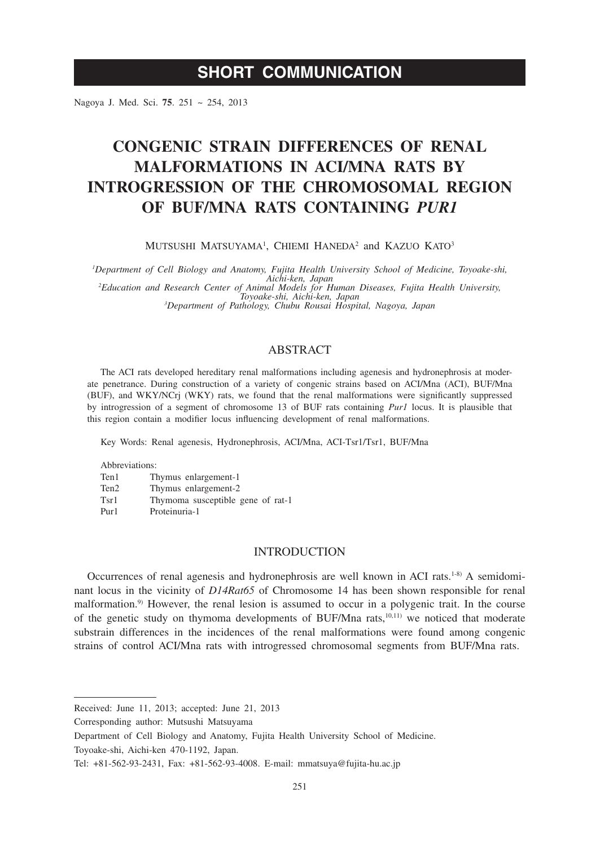## **SHORT COMMUNICATION**

Nagoya J. Med. Sci. **75**. 251 ~ 254, 2013

# **CONGENIC STRAIN DIFFERENCES OF RENAL MALFORMATIONS IN ACI/MNA RATS BY INTROGRESSION OF THE CHROMOSOMAL REGION OF BUF/MNA RATS CONTAINING** *PUR1*

Mutsushi Matsuyama<sup>1</sup>, Chiemi Haneda<sup>2</sup> and Kazuo Kato<sup>3</sup>

*1 Department of Cell Biology and Anatomy, Fujita Health University School of Medicine, Toyoake-shi, Aichi-ken, Japan*<br>
<sup>2</sup> *Education and Research Center of Animal Models for Human Diseases, Fujita Health University,*<br>
<sup>3</sup> *Denartment of Pathology Chubu Rousai Hospital Nagoya Japan*<br>
<sup>3</sup> Denartment of Pathology Chubu Ro *Department of Pathology, Chubu Rousai Hospital, Nagoya, Japan*

## ABSTRACT

The ACI rats developed hereditary renal malformations including agenesis and hydronephrosis at moderate penetrance. During construction of a variety of congenic strains based on ACI/Mna (ACI), BUF/Mna (BUF), and WKY/NCrj (WKY) rats, we found that the renal malformations were significantly suppressed by introgression of a segment of chromosome 13 of BUF rats containing *Pur1* locus. It is plausible that this region contain a modifier locus influencing development of renal malformations.

Key Words: Renal agenesis, Hydronephrosis, ACI/Mna, ACI-Tsr1/Tsr1, BUF/Mna

| Abbreviations:   |                                   |
|------------------|-----------------------------------|
| Ten1             | Thymus enlargement-1              |
| Ten <sub>2</sub> | Thymus enlargement-2              |
| Tsr1             | Thymoma susceptible gene of rat-1 |
| Pur1             | Proteinuria-1                     |

## INTRODUCTION

Occurrences of renal agenesis and hydronephrosis are well known in ACI rats.<sup>1-8)</sup> A semidominant locus in the vicinity of *D14Rat65* of Chromosome 14 has been shown responsible for renal malformation.9) However, the renal lesion is assumed to occur in a polygenic trait. In the course of the genetic study on thymoma developments of BUF/Mna rats,10,11) we noticed that moderate substrain differences in the incidences of the renal malformations were found among congenic strains of control ACI/Mna rats with introgressed chromosomal segments from BUF/Mna rats.

Received: June 11, 2013; accepted: June 21, 2013

Corresponding author: Mutsushi Matsuyama

Department of Cell Biology and Anatomy, Fujita Health University School of Medicine.

Toyoake-shi, Aichi-ken 470-1192, Japan.

Tel: +81-562-93-2431, Fax: +81-562-93-4008. E-mail: mmatsuya@fujita-hu.ac.jp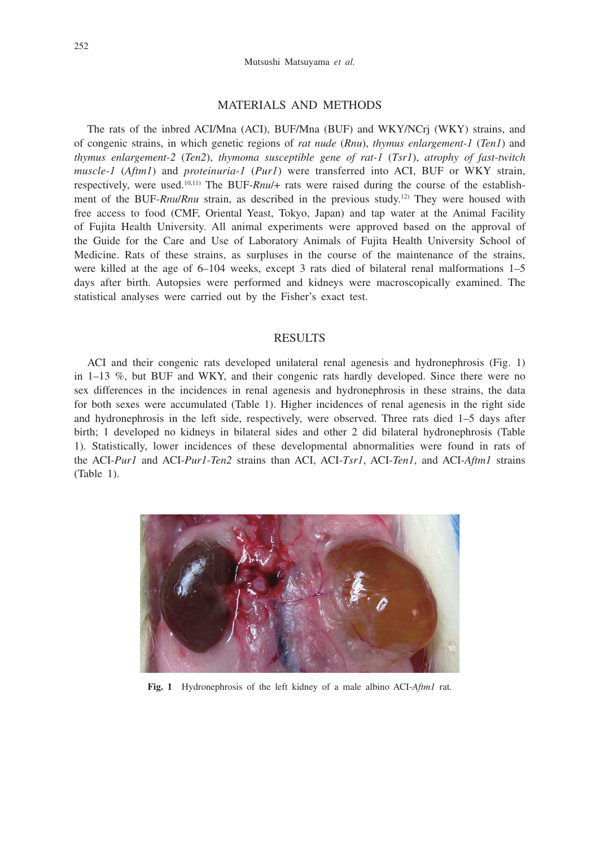#### MATERIALS AND METHODS

The rats of the inbred ACI/Mna (ACI), BUF/Mna (BUF) and WKY/NCrj (WKY) strains, and of congenic strains, in which genetic regions of *rat nude* (*Rnu*), *thymus enlargement-1* (*Ten1*) and *thymus enlargement-2* (*Ten2*), *thymoma susceptible gene of rat-1* (*Tsr1*), *atrophy of fast-twitch muscle-1* (*Aftm1*) and *proteinuria-1* (*Pur1*) were transferred into ACI, BUF or WKY strain, respectively, were used.10,11) The BUF-*Rnu*/+ rats were raised during the course of the establishment of the BUF-*Rnu*/*Rnu* strain, as described in the previous study.12) They were housed with free access to food (CMF, Oriental Yeast, Tokyo, Japan) and tap water at the Animal Facility of Fujita Health University. All animal experiments were approved based on the approval of the Guide for the Care and Use of Laboratory Animals of Fujita Health University School of Medicine. Rats of these strains, as surpluses in the course of the maintenance of the strains, were killed at the age of 6–104 weeks, except 3 rats died of bilateral renal malformations 1–5 days after birth. Autopsies were performed and kidneys were macroscopically examined. The statistical analyses were carried out by the Fisher's exact test.

#### RESULTS

ACI and their congenic rats developed unilateral renal agenesis and hydronephrosis (Fig. 1) in 1–13 %, but BUF and WKY, and their congenic rats hardly developed. Since there were no sex differences in the incidences in renal agenesis and hydronephrosis in these strains, the data for both sexes were accumulated (Table 1). Higher incidences of renal agenesis in the right side and hydronephrosis in the left side, respectively, were observed. Three rats died 1–5 days after birth; 1 developed no kidneys in bilateral sides and other 2 did bilateral hydronephrosis (Table 1). Statistically, lower incidences of these developmental abnormalities were found in rats of the ACI-*Pur1* and ACI-*Pur1*-*Ten2* strains than ACI, ACI-*Tsr1*, ACI-*Ten1*, and ACI-*Aftm1* strains (Table 1).



**Fig. 1** Hydronephrosis of the left kidney of a male albino ACI-*Aftm1* rat.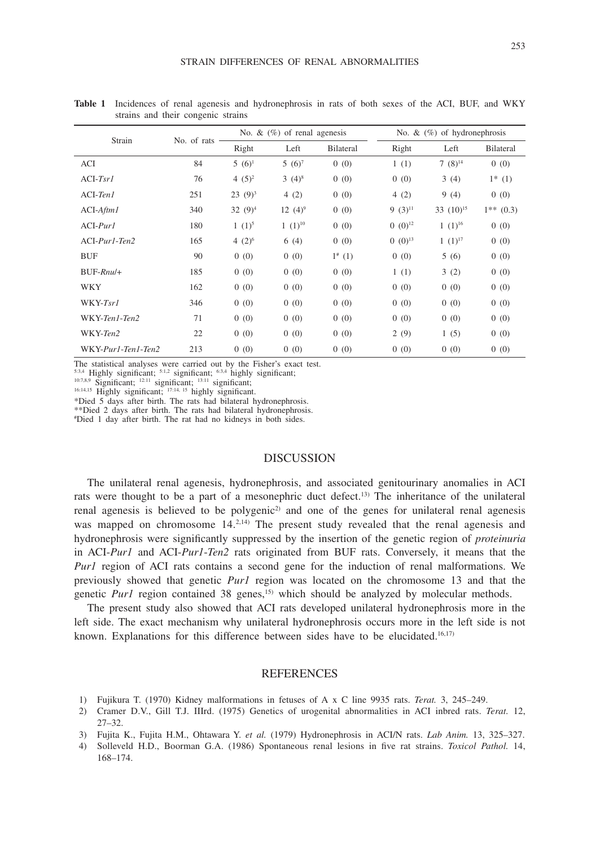| Strain             | No. of rats | No. & $(\%)$ of renal agenesis |             |             | No. $\&$ (%) of hydronephrosis |                |                  |
|--------------------|-------------|--------------------------------|-------------|-------------|--------------------------------|----------------|------------------|
|                    |             | Right                          | Left        | Bilateral   | Right                          | Left           | <b>Bilateral</b> |
| <b>ACI</b>         | 84          | $5(6)^1$                       | $5(6)^7$    | 0(0)        | 1(1)                           | $7(8)^{14}$    | 0(0)             |
| $ACI-Tsr1$         | 76          | 4 $(5)^2$                      | $3(4)^8$    | 0(0)        | 0(0)                           | 3(4)           | $1^*$ (1)        |
| $ACI-TenI$         | 251         | $23(9)^3$                      | 4(2)        | 0(0)        | 4(2)                           | 9(4)           | 0(0)             |
| $ACI-Aftm1$        | 340         | 32 $(9)^4$                     | 12 $(4)^9$  | 0(0)        | $9(3)^{11}$                    | 33 $(10)^{15}$ | $1**$ (0.3)      |
| $ACI-Purl$         | 180         | $1(1)^5$                       | $1(1)^{10}$ | 0(0)        | $0 \ (0)^{12}$                 | $1(1)^{16}$    | 0(0)             |
| $ACI-Purl-Ten2$    | 165         | 4 $(2)^6$                      | 6(4)        | 0(0)        | $0\ (0)^{13}$                  | $1(1)^{17}$    | 0(0)             |
| <b>BUF</b>         | 90          | 0(0)                           | 0(0)        | $1^{*}$ (1) | 0(0)                           | 5(6)           | 0(0)             |
| $BUF-Rnu/+$        | 185         | 0(0)                           | 0(0)        | 0(0)        | 1(1)                           | 3(2)           | 0(0)             |
| <b>WKY</b>         | 162         | 0(0)                           | 0(0)        | 0(0)        | 0(0)                           | 0(0)           | 0(0)             |
| WKY-Tsr1           | 346         | 0(0)                           | 0(0)        | 0(0)        | 0(0)                           | 0(0)           | 0(0)             |
| WKY-Ten1-Ten2      | 71          | 0(0)                           | 0(0)        | 0(0)        | 0(0)                           | 0(0)           | 0(0)             |
| WKY-Ten2           | 22          | 0(0)                           | 0(0)        | 0(0)        | 2(9)                           | 1(5)           | 0(0)             |
| WKY-Pur1-Ten1-Ten2 | 213         | 0(0)                           | 0(0)        | 0(0)        | 0(0)                           | 0(0)           | 0(0)             |

**Table 1** Incidences of renal agenesis and hydronephrosis in rats of both sexes of the ACI, BUF, and WKY strains and their congenic strains

The statistical analyses were carried out by the Fisher's exact test.

5:34 Highly significant;  $5:1,2$  significant;  $6:3,4$  highly significant;  $10:7,8,9$  Significant;  $12:11$  significant;  $13:11$  significant;  $16:14,15$  Highly significant;  $17:14, 15$  highly significant.

\*Died 5 days after birth. The rats had bilateral hydronephrosis.

\*\*Died 2 days after birth. The rats had bilateral hydronephrosis.

# Died 1 day after birth. The rat had no kidneys in both sides.

### DISCUSSION

The unilateral renal agenesis, hydronephrosis, and associated genitourinary anomalies in ACI rats were thought to be a part of a mesonephric duct defect.<sup>13)</sup> The inheritance of the unilateral renal agenesis is believed to be polygenic<sup>2)</sup> and one of the genes for unilateral renal agenesis was mapped on chromosome  $14^{2,14}$ . The present study revealed that the renal agenesis and hydronephrosis were significantly suppressed by the insertion of the genetic region of *proteinuria* in ACI-*Pur1* and ACI-*Pur1*-*Ten2* rats originated from BUF rats. Conversely, it means that the *Purl* region of ACI rats contains a second gene for the induction of renal malformations. We previously showed that genetic *Pur1* region was located on the chromosome 13 and that the genetic *Purl* region contained 38 genes,<sup>15)</sup> which should be analyzed by molecular methods.

The present study also showed that ACI rats developed unilateral hydronephrosis more in the left side. The exact mechanism why unilateral hydronephrosis occurs more in the left side is not known. Explanations for this difference between sides have to be elucidated.<sup>16,17)</sup>

#### REFERENCES

- 1) Fujikura T. (1970) Kidney malformations in fetuses of A x C line 9935 rats. *Terat.* 3, 245–249.
- 2) Cramer D.V., Gill T.J. IIIrd. (1975) Genetics of urogenital abnormalities in ACI inbred rats. *Terat.* 12, 27–32.
- 3) Fujita K., Fujita H.M., Ohtawara Y. *et al.* (1979) Hydronephrosis in ACI/N rats. *Lab Anim.* 13, 325–327.
- 4) Solleveld H.D., Boorman G.A. (1986) Spontaneous renal lesions in five rat strains. *Toxicol Pathol.* 14, 168–174.